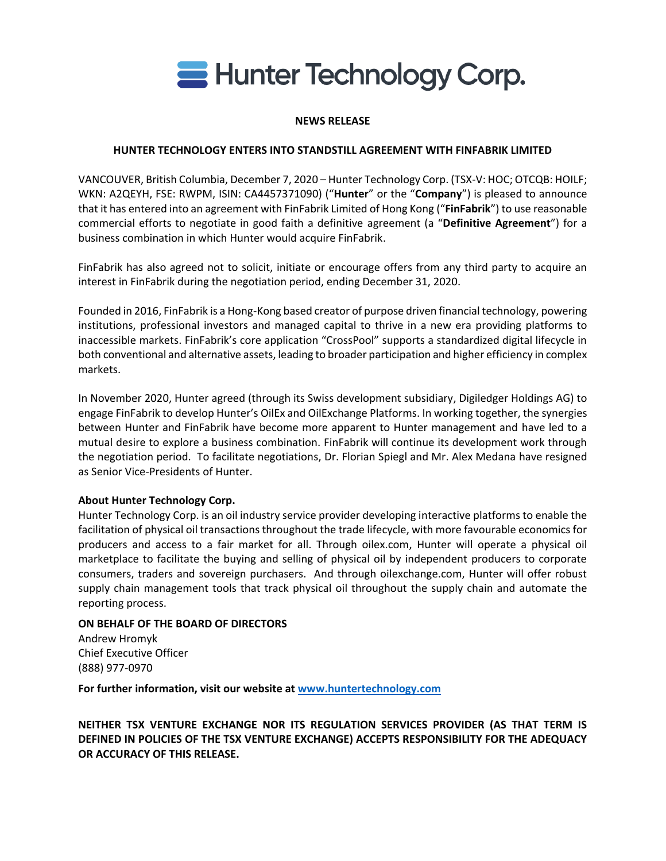

### **NEWS RELEASE**

## **HUNTER TECHNOLOGY ENTERS INTO STANDSTILL AGREEMENT WITH FINFABRIK LIMITED**

VANCOUVER, British Columbia, December 7, 2020 – Hunter Technology Corp. (TSX-V: HOC; OTCQB: HOILF; WKN: A2QEYH, FSE: RWPM, ISIN: CA4457371090) ("**Hunter**" or the "**Company**") is pleased to announce that it has entered into an agreement with FinFabrik Limited of Hong Kong ("**FinFabrik**") to use reasonable commercial efforts to negotiate in good faith a definitive agreement (a "**Definitive Agreement**") for a business combination in which Hunter would acquire FinFabrik.

FinFabrik has also agreed not to solicit, initiate or encourage offers from any third party to acquire an interest in FinFabrik during the negotiation period, ending December 31, 2020.

Founded in 2016, FinFabrik is a Hong-Kong based creator of purpose driven financial technology, powering institutions, professional investors and managed capital to thrive in a new era providing platforms to inaccessible markets. FinFabrik's core application "CrossPool" supports a standardized digital lifecycle in both conventional and alternative assets, leading to broader participation and higher efficiency in complex markets.

In November 2020, Hunter agreed (through its Swiss development subsidiary, Digiledger Holdings AG) to engage FinFabrik to develop Hunter's OilEx and OilExchange Platforms. In working together, the synergies between Hunter and FinFabrik have become more apparent to Hunter management and have led to a mutual desire to explore a business combination. FinFabrik will continue its development work through the negotiation period. To facilitate negotiations, Dr. Florian Spiegl and Mr. Alex Medana have resigned as Senior Vice-Presidents of Hunter.

#### **About Hunter Technology Corp.**

Hunter Technology Corp. is an oil industry service provider developing interactive platforms to enable the facilitation of physical oil transactions throughout the trade lifecycle, with more favourable economics for producers and access to a fair market for all. Through oilex.com, Hunter will operate a physical oil marketplace to facilitate the buying and selling of physical oil by independent producers to corporate consumers, traders and sovereign purchasers. And through oilexchange.com, Hunter will offer robust supply chain management tools that track physical oil throughout the supply chain and automate the reporting process.

# **ON BEHALF OF THE BOARD OF DIRECTORS**

Andrew Hromyk Chief Executive Officer (888) 977-0970

**For further information, visit our website at [www.huntertechnology.com](http://www.huntertechnology.com/)**

**NEITHER TSX VENTURE EXCHANGE NOR ITS REGULATION SERVICES PROVIDER (AS THAT TERM IS DEFINED IN POLICIES OF THE TSX VENTURE EXCHANGE) ACCEPTS RESPONSIBILITY FOR THE ADEQUACY OR ACCURACY OF THIS RELEASE.**